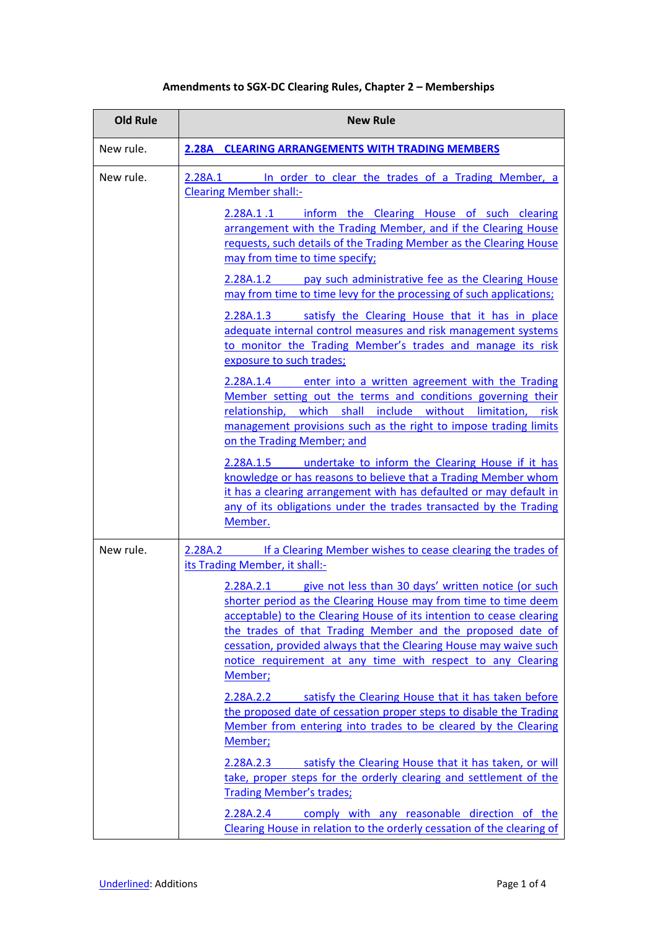# **Amendments to SGX‐DC Clearing Rules, Chapter 2 – Memberships**

| <b>Old Rule</b> | <b>New Rule</b>                                                                                                                                                                                                                                                                                                                                                                                                                                                                                                                      |  |  |
|-----------------|--------------------------------------------------------------------------------------------------------------------------------------------------------------------------------------------------------------------------------------------------------------------------------------------------------------------------------------------------------------------------------------------------------------------------------------------------------------------------------------------------------------------------------------|--|--|
| New rule.       | <b>2.28A CLEARING ARRANGEMENTS WITH TRADING MEMBERS</b>                                                                                                                                                                                                                                                                                                                                                                                                                                                                              |  |  |
| New rule.       | 2.28A.1<br>In order to clear the trades of a Trading Member, a<br><b>Clearing Member shall:-</b>                                                                                                                                                                                                                                                                                                                                                                                                                                     |  |  |
|                 | 2.28A.1.1 inform the Clearing House of such clearing<br>arrangement with the Trading Member, and if the Clearing House<br>requests, such details of the Trading Member as the Clearing House<br>may from time to time specify;<br>pay such administrative fee as the Clearing House<br>2.28A.1.2<br>may from time to time levy for the processing of such applications;                                                                                                                                                              |  |  |
|                 |                                                                                                                                                                                                                                                                                                                                                                                                                                                                                                                                      |  |  |
|                 | 2.28A.1.3 Satisfy the Clearing House that it has in place<br>adequate internal control measures and risk management systems<br>to monitor the Trading Member's trades and manage its risk<br>exposure to such trades;                                                                                                                                                                                                                                                                                                                |  |  |
|                 | 2.28A.1.4 enter into a written agreement with the Trading<br>Member setting out the terms and conditions governing their<br>which shall include without limitation,<br>relationship,<br>risk<br>management provisions such as the right to impose trading limits<br>on the Trading Member; and                                                                                                                                                                                                                                       |  |  |
|                 | undertake to inform the Clearing House if it has<br>2.28A.1.5<br>knowledge or has reasons to believe that a Trading Member whom<br>it has a clearing arrangement with has defaulted or may default in<br>any of its obligations under the trades transacted by the Trading<br>Member.                                                                                                                                                                                                                                                |  |  |
| New rule.       | If a Clearing Member wishes to cease clearing the trades of<br>2.28A.2<br>its Trading Member, it shall:-<br>give not less than 30 days' written notice (or such<br>2.28A.2.1<br>shorter period as the Clearing House may from time to time deem<br>acceptable) to the Clearing House of its intention to cease clearing<br>the trades of that Trading Member and the proposed date of<br>cessation, provided always that the Clearing House may waive such<br>notice requirement at any time with respect to any Clearing<br>Member; |  |  |
|                 |                                                                                                                                                                                                                                                                                                                                                                                                                                                                                                                                      |  |  |
|                 | satisfy the Clearing House that it has taken before<br>2.28A.2.2<br>the proposed date of cessation proper steps to disable the Trading<br>Member from entering into trades to be cleared by the Clearing<br>Member;                                                                                                                                                                                                                                                                                                                  |  |  |
|                 | satisfy the Clearing House that it has taken, or will<br>2.28A.2.3<br>take, proper steps for the orderly clearing and settlement of the<br><b>Trading Member's trades;</b>                                                                                                                                                                                                                                                                                                                                                           |  |  |
|                 | comply with any reasonable direction of the<br>2.28A.2.4<br>Clearing House in relation to the orderly cessation of the clearing of                                                                                                                                                                                                                                                                                                                                                                                                   |  |  |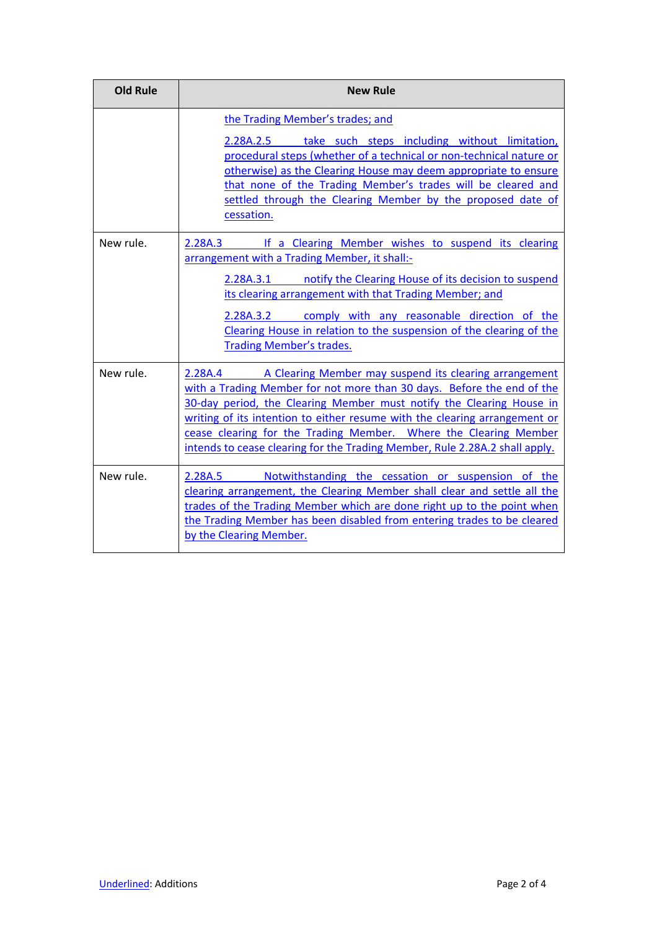| <b>Old Rule</b> | <b>New Rule</b>                                                                                                                                                                                                                                                                                                                                                                                                                                      |  |  |
|-----------------|------------------------------------------------------------------------------------------------------------------------------------------------------------------------------------------------------------------------------------------------------------------------------------------------------------------------------------------------------------------------------------------------------------------------------------------------------|--|--|
|                 | the Trading Member's trades; and<br>take such steps including without limitation,<br>2.28A.2.5<br>procedural steps (whether of a technical or non-technical nature or<br>otherwise) as the Clearing House may deem appropriate to ensure<br>that none of the Trading Member's trades will be cleared and<br>settled through the Clearing Member by the proposed date of<br>cessation.                                                                |  |  |
| New rule.       | If a Clearing Member wishes to suspend its clearing<br>2.28A.3<br>arrangement with a Trading Member, it shall:-<br>notify the Clearing House of its decision to suspend<br>2.28A.3.1<br>its clearing arrangement with that Trading Member; and<br>comply with any reasonable direction of the<br>2.28A.3.2<br>Clearing House in relation to the suspension of the clearing of the<br><b>Trading Member's trades.</b>                                 |  |  |
| New rule.       | A Clearing Member may suspend its clearing arrangement<br>2.28A.4<br>with a Trading Member for not more than 30 days. Before the end of the<br>30-day period, the Clearing Member must notify the Clearing House in<br>writing of its intention to either resume with the clearing arrangement or<br>cease clearing for the Trading Member. Where the Clearing Member<br>intends to cease clearing for the Trading Member, Rule 2.28A.2 shall apply. |  |  |
| New rule.       | Notwithstanding the cessation or suspension of the<br>2.28A.5<br>clearing arrangement, the Clearing Member shall clear and settle all the<br>trades of the Trading Member which are done right up to the point when<br>the Trading Member has been disabled from entering trades to be cleared<br>by the Clearing Member.                                                                                                                            |  |  |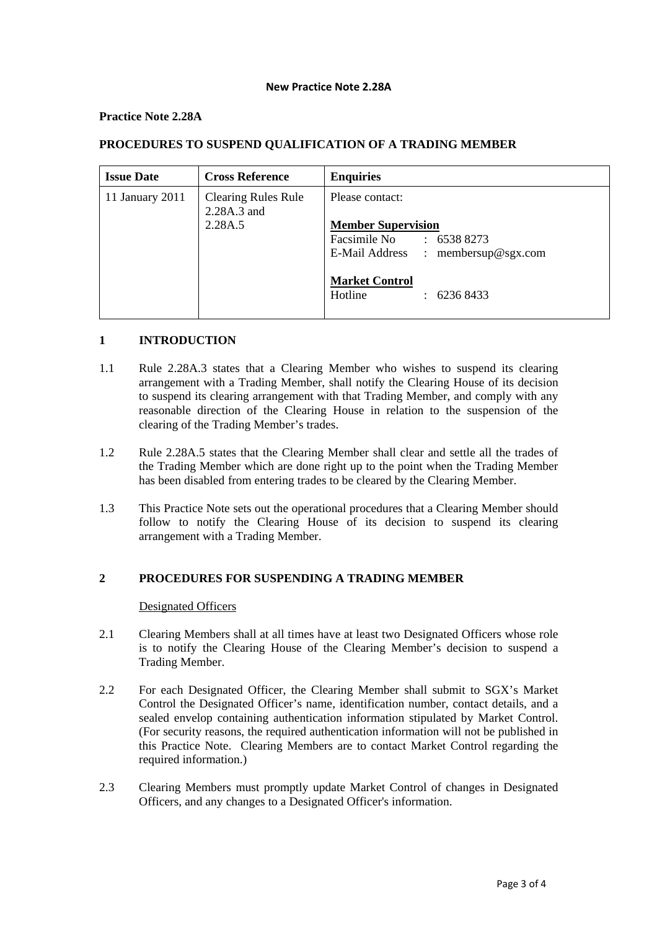#### **New Practice Note 2.28A**

## **Practice Note 2.28A**

| <b>Issue Date</b> | <b>Cross Reference</b>                    | <b>Enquiries</b>                                     |
|-------------------|-------------------------------------------|------------------------------------------------------|
| 11 January 2011   | <b>Clearing Rules Rule</b><br>2.28A.3 and | Please contact:                                      |
|                   | 2.28A.5                                   | <b>Member Supervision</b>                            |
|                   |                                           | Facsimile No<br>: 65388273                           |
|                   |                                           | E-Mail Address : membersup@sgx.com                   |
|                   |                                           | <b>Market Control</b><br>Hotline<br>$\div$ 6236 8433 |

# **PROCEDURES TO SUSPEND QUALIFICATION OF A TRADING MEMBER**

# **1 INTRODUCTION**

- 1.1 Rule 2.28A.3 states that a Clearing Member who wishes to suspend its clearing arrangement with a Trading Member, shall notify the Clearing House of its decision to suspend its clearing arrangement with that Trading Member, and comply with any reasonable direction of the Clearing House in relation to the suspension of the clearing of the Trading Member's trades.
- 1.2 Rule 2.28A.5 states that the Clearing Member shall clear and settle all the trades of the Trading Member which are done right up to the point when the Trading Member has been disabled from entering trades to be cleared by the Clearing Member.
- 1.3 This Practice Note sets out the operational procedures that a Clearing Member should follow to notify the Clearing House of its decision to suspend its clearing arrangement with a Trading Member.

# **2 PROCEDURES FOR SUSPENDING A TRADING MEMBER**

## Designated Officers

- 2.1 Clearing Members shall at all times have at least two Designated Officers whose role is to notify the Clearing House of the Clearing Member's decision to suspend a Trading Member.
- 2.2 For each Designated Officer, the Clearing Member shall submit to SGX's Market Control the Designated Officer's name, identification number, contact details, and a sealed envelop containing authentication information stipulated by Market Control. (For security reasons, the required authentication information will not be published in this Practice Note. Clearing Members are to contact Market Control regarding the required information.)
- 2.3 Clearing Members must promptly update Market Control of changes in Designated Officers, and any changes to a Designated Officer's information.